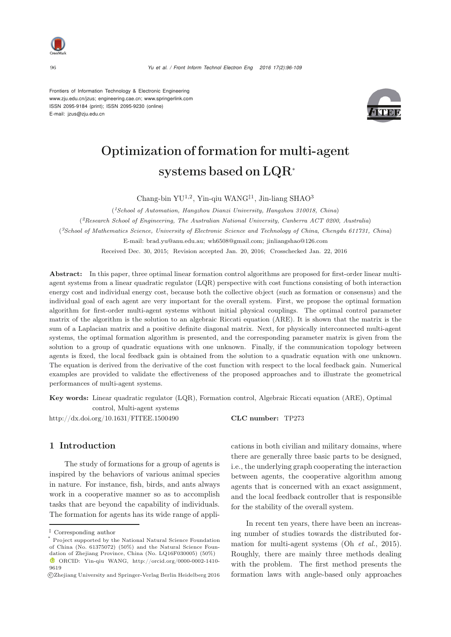

Frontiers of Information Technology & Electronic Engineering www.zju.edu.cn/jzus; engineering.cae.cn; www.springerlink.com ISSN 2095-9184 (print); ISSN 2095-9230 (online) E-mail: jzus@zju.edu.cn



# Optimization of formation for multi-agent systems based on LQR<sup>∗</sup>

Chang-bin YU<sup>1,2</sup>, Yin-qiu WANG<sup>‡1</sup>, Jin-liang SHAO<sup>3</sup>

(*1School of Automation, Hangzhou Dianzi University, Hangzhou 310018, China*) (*2Research School of Engineering, The Australian National University, Canberra ACT 0200, Australia*) (*3School of Mathematics Science, University of Electronic Science and Technology of China, Chengdu 611731, China*) E-mail: brad.yu@anu.edu.au; wh6508@gmail.com; jinliangshao@126.com Received Dec. 30, 2015; Revision accepted Jan. 20, 2016; Crosschecked Jan. 22, 2016

Abstract: In this paper, three optimal linear formation control algorithms are proposed for first-order linear multiagent systems from a linear quadratic regulator (LQR) perspective with cost functions consisting of both interaction energy cost and individual energy cost, because both the collective object (such as formation or consensus) and the individual goal of each agent are very important for the overall system. First, we propose the optimal formation algorithm for first-order multi-agent systems without initial physical couplings. The optimal control parameter matrix of the algorithm is the solution to an algebraic Riccati equation (ARE). It is shown that the matrix is the sum of a Laplacian matrix and a positive definite diagonal matrix. Next, for physically interconnected multi-agent systems, the optimal formation algorithm is presented, and the corresponding parameter matrix is given from the solution to a group of quadratic equations with one unknown. Finally, if the communication topology between agents is fixed, the local feedback gain is obtained from the solution to a quadratic equation with one unknown. The equation is derived from the derivative of the cost function with respect to the local feedback gain. Numerical examples are provided to validate the effectiveness of the proposed approaches and to illustrate the geometrical performances of multi-agent systems.

Key words: Linear quadratic regulator (LQR), Formation control, Algebraic Riccati equation (ARE), Optimal control, Multi-agent systems

http://dx.doi.org/10.1631/FITEE.1500490 CLC number: TP273

# 1 Introduction

The study of formations for a group of agents is inspired by the behaviors of various animal species in nature. For instance, fish, birds, and ants always work in a cooperative manner so as to accomplish tasks that are beyond the capability of individuals. The formation for agents has its wide range of applications in both civilian and military domains, where there are generally three basic parts to be designed, i.e., the underlying graph cooperating the interaction between agents, the cooperative algorithm among agents that is concerned with an exact assignment, and the local feedback controller that is responsible for the stability of the overall system.

In recent ten years, there have been an increasing number of studies towards the distributed formation for multi-agent systems (Oh *et al.*, 2015). Roughly, there are mainly three methods dealing with the problem. The first method presents the formation laws with angle-based only approaches

<sup>‡</sup> Corresponding author

Project supported by the National Natural Science Foundation of China (No. 61375072) (50%) and the Natural Science Foundation of Zhejiang Province, China (No. LQ16F030005) (50%) ORCID: Yin-qiu WANG, http://orcid.org/0000-0002-1410-

<sup>9619</sup>

c Zhejiang University and Springer-Verlag Berlin Heidelberg 2016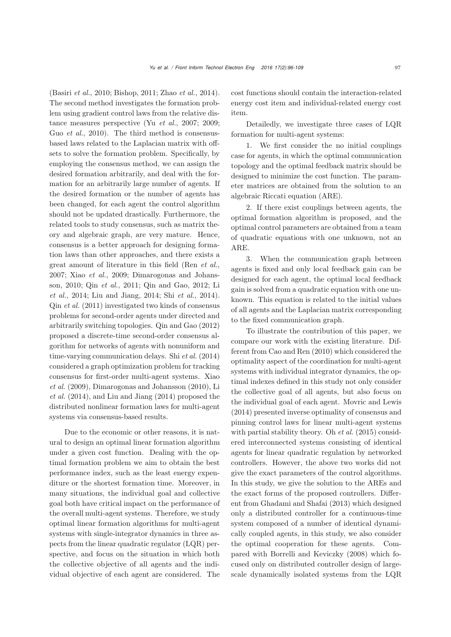(Basiri *et al.*, 2010; Bishop, 2011; Zhao *et al.*, 2014). The second method investigates the formation problem using gradient control laws from the relative distance measures perspective (Yu *et al.*, 2007; 2009; Guo *et al.*, 2010). The third method is consensusbased laws related to the Laplacian matrix with offsets to solve the formation problem. Specifically, by employing the consensus method, we can assign the desired formation arbitrarily, and deal with the formation for an arbitrarily large number of agents. If the desired formation or the number of agents has been changed, for each agent the control algorithm should not be updated drastically. Furthermore, the related tools to study consensus, such as matrix theory and algebraic graph, are very mature. Hence, consensus is a better approach for designing formation laws than other approaches, and there exists a great amount of literature in this field (Ren *et al.*, 2007; Xiao *et al.*, 2009; Dimarogonas and Johansson, 2010; Qin *et al.*, 2011; Qin and Gao, 2012; Li *et al.*, 2014; Liu and Jiang, 2014; Shi *et al.*, 2014). Qin *et al.* (2011) investigated two kinds of consensus problems for second-order agents under directed and arbitrarily switching topologies. Qin and Gao (2012) proposed a discrete-time second-order consensus algorithm for networks of agents with nonuniform and time-varying communication delays. Shi *et al.* (2014) considered a graph optimization problem for tracking consensus for first-order multi-agent systems. Xiao *et al.* (2009), Dimarogonas and Johansson (2010), Li *et al.* (2014), and Liu and Jiang (2014) proposed the distributed nonlinear formation laws for multi-agent systems via consensus-based results.

Due to the economic or other reasons, it is natural to design an optimal linear formation algorithm under a given cost function. Dealing with the optimal formation problem we aim to obtain the best performance index, such as the least energy expenditure or the shortest formation time. Moreover, in many situations, the individual goal and collective goal both have critical impact on the performance of the overall multi-agent systems. Therefore, we study optimal linear formation algorithms for multi-agent systems with single-integrator dynamics in three aspects from the linear quadratic regulator (LQR) perspective, and focus on the situation in which both the collective objective of all agents and the individual objective of each agent are considered. The cost functions should contain the interaction-related energy cost item and individual-related energy cost item.

Detailedly, we investigate three cases of LQR formation for multi-agent systems:

1. We first consider the no initial couplings case for agents, in which the optimal communication topology and the optimal feedback matrix should be designed to minimize the cost function. The parameter matrices are obtained from the solution to an algebraic Riccati equation (ARE).

2. If there exist couplings between agents, the optimal formation algorithm is proposed, and the optimal control parameters are obtained from a team of quadratic equations with one unknown, not an ARE.

3. When the communication graph between agents is fixed and only local feedback gain can be designed for each agent, the optimal local feedback gain is solved from a quadratic equation with one unknown. This equation is related to the initial values of all agents and the Laplacian matrix corresponding to the fixed communication graph.

To illustrate the contribution of this paper, we compare our work with the existing literature. Different from Cao and Ren (2010) which considered the optimality aspect of the coordination for multi-agent systems with individual integrator dynamics, the optimal indexes defined in this study not only consider the collective goal of all agents, but also focus on the individual goal of each agent. Movric and Lewis (2014) presented inverse optimality of consensus and pinning control laws for linear multi-agent systems with partial stability theory. Oh *et al.* (2015) considered interconnected systems consisting of identical agents for linear quadratic regulation by networked controllers. However, the above two works did not give the exact parameters of the control algorithms. In this study, we give the solution to the AREs and the exact forms of the proposed controllers. Different from Ghadami and Shafai (2013) which designed only a distributed controller for a continuous-time system composed of a number of identical dynamically coupled agents, in this study, we also consider the optimal cooperation for these agents. Compared with Borrelli and Keviczky (2008) which focused only on distributed controller design of largescale dynamically isolated systems from the LQR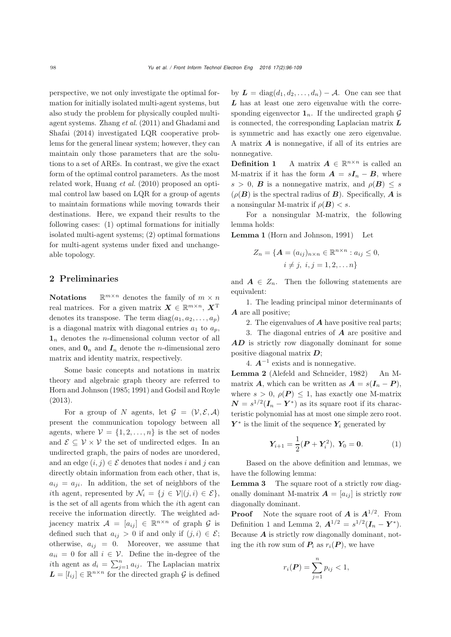perspective, we not only investigate the optimal formation for initially isolated multi-agent systems, but also study the problem for physically coupled multiagent systems. Zhang *et al.* (2011) and Ghadami and Shafai (2014) investigated LQR cooperative problems for the general linear system; however, they can maintain only those parameters that are the solutions to a set of AREs. In contrast, we give the exact form of the optimal control parameters. As the most related work, Huang *et al.* (2010) proposed an optimal control law based on LQR for a group of agents to maintain formations while moving towards their destinations. Here, we expand their results to the following cases: (1) optimal formations for initially isolated multi-agent systems; (2) optimal formations for multi-agent systems under fixed and unchangeable topology.

### 2 Preliminaries

**Notations**  $\mathbb{R}^{m \times n}$  denotes the family of  $m \times n$ real matrices. For a given matrix  $\mathbf{X} \in \mathbb{R}^{m \times n}$ ,  $\mathbf{X}^{\mathrm{T}}$ denotes its transpose. The term diag $(a_1, a_2, \ldots, a_p)$ is a diagonal matrix with diagonal entries  $a_1$  to  $a_p$ ,  $\mathbf{1}_n$  denotes the *n*-dimensional column vector of all ones, and  $\mathbf{0}_n$  and  $\mathbf{I}_n$  denote the *n*-dimensional zero matrix and identity matrix, respectively.

Some basic concepts and notations in matrix theory and algebraic graph theory are referred to Horn and Johnson (1985; 1991) and Godsil and Royle (2013).

For a group of N agents, let  $\mathcal{G} = (\mathcal{V}, \mathcal{E}, \mathcal{A})$ present the communication topology between all agents, where  $V = \{1, 2, ..., n\}$  is the set of nodes and  $\mathcal{E} \subseteq \mathcal{V} \times \mathcal{V}$  the set of undirected edges. In an undirected graph, the pairs of nodes are unordered, and an edge  $(i, j) \in \mathcal{E}$  denotes that nodes i and j can directly obtain information from each other, that is,  $a_{ij} = a_{ji}$ . In addition, the set of neighbors of the ith agent, represented by  $\mathcal{N}_i = \{j \in \mathcal{V} | (j,i) \in \mathcal{E} \},\$ is the set of all agents from which the ith agent can receive the information directly. The weighted adjacency matrix  $A = [a_{ij}] \in \mathbb{R}^{n \times n}$  of graph G is defined such that  $a_{ij} > 0$  if and only if  $(j, i) \in \mathcal{E}$ ; otherwise,  $a_{ij} = 0$ . Moreover, we assume that  $a_{ii} = 0$  for all  $i \in V$ . Define the in-degree of the *i*th agent as  $d_i = \sum_{j=1}^n a_{ij}$ . The Laplacian matrix  $L = [l_{ij}] \in \mathbb{R}^{n \times n}$  for the directed graph G is defined

by  $\mathbf{L} = \text{diag}(d_1, d_2, \dots, d_n) - \mathbf{A}$ . One can see that *L* has at least one zero eigenvalue with the corresponding eigenvector  $\mathbf{1}_n$ . If the undirected graph  $\mathcal{G}$ is connected, the corresponding Laplacian matrix *L* is symmetric and has exactly one zero eigenvalue. A matrix *A* is nonnegative, if all of its entries are nonnegative.

**Definition 1** A matrix  $A \in \mathbb{R}^{n \times n}$  is called an M-matrix if it has the form  $\mathbf{A} = s\mathbf{I}_n - \mathbf{B}$ , where s > 0, **B** is a nonnegative matrix, and  $\rho(B) \leq s$  $(\rho(\mathbf{B}))$  is the spectral radius of  $\mathbf{B}$ ). Specifically,  $\mathbf{A}$  is a nonsingular M-matrix if  $\rho(\mathbf{B}) < s$ .

For a nonsingular M-matrix, the following lemma holds:

Lemma 1 (Horn and Johnson, 1991) Let

$$
Z_n = \{ \mathbf{A} = (a_{ij})_{n \times n} \in \mathbb{R}^{n \times n} : a_{ij} \leq 0, i \neq j, i, j = 1, 2, \dots n \}
$$

and  $A \in Z_n$ . Then the following statements are equivalent:

1. The leading principal minor determinants of *A* are all positive;

2. The eigenvalues of *A* have positive real parts;

3. The diagonal entries of *A* are positive and *AD* is strictly row diagonally dominant for some positive diagonal matrix *D*;

4.  $A^{-1}$  exists and is nonnegative.

Lemma 2 (Alefeld and Schneider, 1982) An Mmatrix *A*, which can be written as  $A = s(I_n - P)$ , where  $s > 0$ ,  $\rho(P) \leq 1$ , has exactly one M-matrix  $N = s^{1/2}(I_n - Y^*)$  as its square root if its characteristic polynomial has at most one simple zero root.  $Y^*$  is the limit of the sequence  $Y_i$  generated by

$$
Y_{i+1} = \frac{1}{2} (P + Y_i^2), \ Y_0 = 0.
$$
 (1)

Based on the above definition and lemmas, we have the following lemma:

Lemma 3 The square root of a strictly row diagonally dominant M-matrix  $\mathbf{A} = [a_{ij}]$  is strictly row diagonally dominant.

**Proof** Note the square root of  $\bf{A}$  is  $\bf{A}^{1/2}$ . From Definition 1 and Lemma 2,  $A^{1/2} = s^{1/2}(I_n - Y^*)$ . Because *A* is strictly row diagonally dominant, noting the *i*th row sum of  $P_i$  as  $r_i(P)$ , we have

$$
r_i(\boldsymbol{P}) = \sum_{j=1}^n p_{ij} < 1,
$$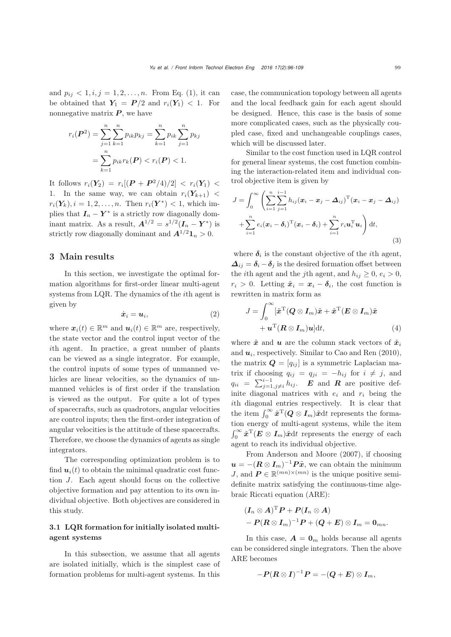and  $p_{ij} < 1, i, j = 1, 2, ..., n$ . From Eq. (1), it can be obtained that  $Y_1 = P/2$  and  $r_i(Y_1) < 1$ . For nonnegative matrix  $P$ , we have

$$
r_i(\boldsymbol{P}^2) = \sum_{j=1}^n \sum_{k=1}^n p_{ik} p_{kj} = \sum_{k=1}^n p_{ik} \sum_{j=1}^n p_{kj}
$$

$$
= \sum_{k=1}^n p_{ik} r_k(\boldsymbol{P}) < r_i(\boldsymbol{P}) < 1.
$$

It follows  $r_i(Y_2) = r_i[(P + P^2/4)/2] < r_i(Y_1)$ 1. In the same way, we can obtain  $r_i(Y_{k+1})$  <  $r_i(Y_k)$ ,  $i = 1, 2, \ldots, n$ . Then  $r_i(Y^*) < 1$ , which implies that  $I_n - Y^*$  is a strictly row diagonally dominant matrix. As a result,  $\mathbf{A}^{1/2} = s^{1/2}(\mathbf{I}_n - \mathbf{Y}^*)$  is strictly row diagonally dominant and  $A^{1/2}$ **1**<sub>n</sub> > 0.

#### 3 Main results

In this section, we investigate the optimal formation algorithms for first-order linear multi-agent systems from LQR. The dynamics of the ith agent is given by

$$
\dot{\boldsymbol{x}}_i = \boldsymbol{u}_i,\tag{2}
$$

where  $\mathbf{x}_i(t) \in \mathbb{R}^m$  and  $\mathbf{u}_i(t) \in \mathbb{R}^m$  are, respectively, the state vector and the control input vector of the ith agent. In practice, a great number of plants can be viewed as a single integrator. For example, the control inputs of some types of unmanned vehicles are linear velocities, so the dynamics of unmanned vehicles is of first order if the translation is viewed as the output. For quite a lot of types of spacecrafts, such as quadrotors, angular velocities are control inputs; then the first-order integration of angular velocities is the attitude of these spacecrafts. Therefore, we choose the dynamics of agents as single integrators.

The corresponding optimization problem is to find  $u_i(t)$  to obtain the minimal quadratic cost function J. Each agent should focus on the collective objective formation and pay attention to its own individual objective. Both objectives are considered in this study.

#### 3.1 LQR formation for initially isolated multiagent systems

In this subsection, we assume that all agents are isolated initially, which is the simplest case of formation problems for multi-agent systems. In this

case, the communication topology between all agents and the local feedback gain for each agent should be designed. Hence, this case is the basis of some more complicated cases, such as the physically coupled case, fixed and unchangeable couplings cases, which will be discussed later.

Similar to the cost function used in LQR control for general linear systems, the cost function combining the interaction-related item and individual control objective item is given by

$$
J = \int_0^\infty \left( \sum_{i=1}^n \sum_{j=1}^{i-1} h_{ij} (\boldsymbol{x}_i - \boldsymbol{x}_j - \boldsymbol{\Delta}_{ij})^\mathrm{T} (\boldsymbol{x}_i - \boldsymbol{x}_j - \boldsymbol{\Delta}_{ij}) + \sum_{i=1}^n e_i (\boldsymbol{x}_i - \boldsymbol{\delta}_i)^\mathrm{T} (\boldsymbol{x}_i - \boldsymbol{\delta}_i) + \sum_{i=1}^n r_i \boldsymbol{u}_i^\mathrm{T} \boldsymbol{u}_i \right) dt,
$$
\n(3)

where  $\delta_i$  is the constant objective of the *i*th agent,  $\Delta_{ij} = \delta_i - \delta_j$  is the desired formation offset between the *i*th agent and the *j*th agent, and  $h_{ij} \geq 0$ ,  $e_i > 0$ ,  $r_i > 0$ . Letting  $\tilde{x}_i = x_i - \delta_i$ , the cost function is rewritten in matrix form as

$$
J = \int_0^\infty [\tilde{\boldsymbol{x}}^{\mathrm{T}} (\boldsymbol{Q} \otimes \boldsymbol{I}_m) \tilde{\boldsymbol{x}} + \tilde{\boldsymbol{x}}^{\mathrm{T}} (\boldsymbol{E} \otimes \boldsymbol{I}_m) \tilde{\boldsymbol{x}} + \boldsymbol{u}^{\mathrm{T}} (\boldsymbol{R} \otimes \boldsymbol{I}_m) \boldsymbol{u}] dt,
$$
\n(4)

where  $\tilde{x}$  and *u* are the column stack vectors of  $\tilde{x}$ <sub>i</sub> and  $u_i$ , respectively. Similar to Cao and Ren  $(2010)$ , the matrix  $\mathbf{Q} = [q_{ij}]$  is a symmetric Laplacian matrix if choosing  $q_{ij} = q_{ji} = -h_{ij}$  for  $i \neq j$ , and  $q_{ii} = \sum_{j=1, j\neq i}^{i-1} h_{ij}$ . *E* and *R* are positive definite diagonal matrices with  $e_i$  and  $r_i$  being the ith diagonal entries respectively. It is clear that the item  $\int_0^\infty \tilde{x}^{T}(Q \otimes I_m)\tilde{x} \mathrm{d}t$  represents the formation energy of multi-agent systems, while the item  $\int_0^\infty \tilde{x}^{\mathrm{T}} (E \otimes I_m) \tilde{x} \mathrm{d}t$  represents the energy of each agent to reach its individual objective.

From Anderson and Moore (2007), if choosing  $u = -(R \otimes I_m)^{-1} P \tilde{x}$ , we can obtain the minimum J, and  $P \in \mathbb{R}^{(mn)\times(mn)}$  is the unique positive semidefinite matrix satisfying the continuous-time algebraic Riccati equation (ARE):

$$
(\mathbf{I}_n \otimes \mathbf{A})^{\mathrm{T}} \mathbf{P} + \mathbf{P}(\mathbf{I}_n \otimes \mathbf{A})
$$
  
-  $\mathbf{P}(\mathbf{R} \otimes \mathbf{I}_m)^{-1} \mathbf{P} + (\mathbf{Q} + \mathbf{E}) \otimes \mathbf{I}_m = \mathbf{0}_{mn}.$ 

In this case,  $\mathbf{A} = \mathbf{0}_m$  holds because all agents can be considered single integrators. Then the above ARE becomes

$$
-\boldsymbol{P}(\boldsymbol{R}\otimes \boldsymbol{I})^{-1}\boldsymbol{P} = -(\boldsymbol{Q} + \boldsymbol{E})\otimes \boldsymbol{I}_m,
$$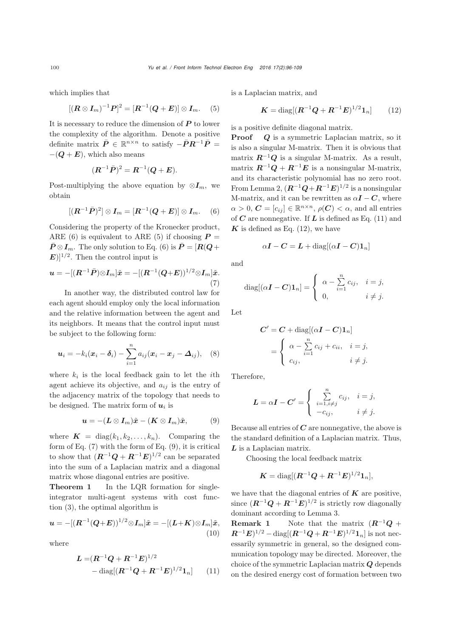which implies that

$$
[(R \otimes I_m)^{-1}P]^2 = [R^{-1}(Q+E)] \otimes I_m.
$$
 (5)

It is necessary to reduce the dimension of *P* to lower the complexity of the algorithm. Denote a positive definite matrix  $\bar{P} \in \mathbb{R}^{n \times n}$  to satisfy  $-\bar{P}R^{-1}\bar{P}$  =  $-(Q + E)$ , which also means

$$
(\boldsymbol{R}^{-1}\bar{\boldsymbol{P}})^2 = \boldsymbol{R}^{-1}(\boldsymbol{Q} + \boldsymbol{E}).
$$

Post-multiplying the above equation by  $\otimes I_m$ , we obtain

$$
[(R^{-1}\bar{P})^2] \otimes I_m = [R^{-1}(Q+E)] \otimes I_m. \quad (6)
$$

Considering the property of the Kronecker product, ARE (6) is equivalent to ARE (5) if choosing  $P =$  $\bar{P} \otimes I_m$ . The only solution to Eq. (6) is  $\bar{P} = [R(Q +$  $E$ <sup>[1/2</sup>. Then the control input is

$$
\boldsymbol{u} = -[(\boldsymbol{R}^{-1}\bar{\boldsymbol{P}})\otimes\boldsymbol{I}_m]\tilde{\boldsymbol{x}} = -[(\boldsymbol{R}^{-1}(\boldsymbol{Q}+\boldsymbol{E}))^{1/2}\otimes\boldsymbol{I}_m]\tilde{\boldsymbol{x}}.\tag{7}
$$

In another way, the distributed control law for each agent should employ only the local information and the relative information between the agent and its neighbors. It means that the control input must be subject to the following form:

$$
\boldsymbol{u}_i = -k_i(\boldsymbol{x}_i - \boldsymbol{\delta}_i) - \sum_{i=1}^n a_{ij}(\boldsymbol{x}_i - \boldsymbol{x}_j - \boldsymbol{\Delta}_{ij}), \quad (8)
$$

where  $k_i$  is the local feedback gain to let the *i*th agent achieve its objective, and  $a_{ij}$  is the entry of the adjacency matrix of the topology that needs to be designed. The matrix form of  $u_i$  is

$$
\boldsymbol{u} = -(\boldsymbol{L} \otimes \boldsymbol{I}_m)\tilde{\boldsymbol{x}} - (\boldsymbol{K} \otimes \boldsymbol{I}_m)\tilde{\boldsymbol{x}}, \qquad (9)
$$

where  $\mathbf{K} = \text{diag}(k_1, k_2, \ldots, k_n)$ . Comparing the form of Eq.  $(7)$  with the form of Eq.  $(9)$ , it is critical to show that  $(R^{-1}Q + R^{-1}E)^{1/2}$  can be separated into the sum of a Laplacian matrix and a diagonal matrix whose diagonal entries are positive.

Theorem 1 In the LQR formation for singleintegrator multi-agent systems with cost function (3), the optimal algorithm is

$$
\bm{u} = -[(\bm{R}^{-1}(\bm{Q}+\bm{E}))^{1/2}\otimes \bm{I}_m]\tilde{\bm{x}} = -[(\bm{L}+\bm{K})\otimes \bm{I}_m]\tilde{\bm{x}}, \tag{10}
$$

where

$$
L = (R^{-1}Q + R^{-1}E)^{1/2}
$$
  
- diag[(R^{-1}Q + R^{-1}E)^{1/2}1<sub>n</sub>] (11)

is a Laplacian matrix, and

$$
K = \text{diag}[(R^{-1}Q + R^{-1}E)^{1/2}1_n] \qquad (12)
$$

is a positive definite diagonal matrix.

Proof *Q* is a symmetric Laplacian matrix, so it is also a singular M-matrix. Then it is obvious that matrix  $R^{-1}Q$  is a singular M-matrix. As a result, matrix  $R^{-1}Q + R^{-1}E$  is a nonsingular M-matrix, and its characteristic polynomial has no zero root. From Lemma 2,  $(\mathbf{R}^{-1}\mathbf{Q}+\mathbf{R}^{-1}\mathbf{E})^{1/2}$  is a nonsingular M-matrix, and it can be rewritten as  $\alpha I - C$ , where  $\alpha > 0, C = [c_{ij}] \in \mathbb{R}^{n \times n}, \rho(C) < \alpha$ , and all entries of  $C$  are nonnegative. If  $L$  is defined as Eq. (11) and  $\boldsymbol{K}$  is defined as Eq. (12), we have

$$
\alpha \boldsymbol{I} - \boldsymbol{C} = \boldsymbol{L} + \text{diag}[(\alpha \boldsymbol{I} - \boldsymbol{C})\boldsymbol{1}_n]
$$

and

diag[
$$
(\alpha \mathbf{I} - \mathbf{C})\mathbf{1}_n
$$
] = 
$$
\begin{cases} \alpha - \sum_{i=1}^n c_{ij}, & i = j, \\ 0, & i \neq j. \end{cases}
$$

Let

$$
C' = C + \text{diag}[(\alpha I - C)\mathbf{1}_n]
$$
  
= 
$$
\begin{cases} \alpha - \sum_{i=1}^n c_{ij} + c_{ii}, & i = j, \\ c_{ij}, & i \neq j. \end{cases}
$$

Therefore,

$$
L = \alpha I - C' = \begin{cases} \sum_{i=1, i \neq j}^{n} c_{ij}, & i = j, \\ -c_{ij}, & i \neq j. \end{cases}
$$

Because all entries of *C* are nonnegative, the above is the standard definition of a Laplacian matrix. Thus, *L* is a Laplacian matrix.

Choosing the local feedback matrix

$$
K = \text{diag}[(R^{-1}Q + R^{-1}E)^{1/2}1_n],
$$

we have that the diagonal entries of  $K$  are positive, since  $(\mathbf{R}^{-1}\mathbf{Q} + \mathbf{R}^{-1}\mathbf{E})^{1/2}$  is strictly row diagonally dominant according to Lemma 3.

**Remark 1** Note that the matrix  $(R^{-1}Q +$  $R^{-1}E^{1/2} - \text{diag}[(R^{-1}Q + R^{-1}E)^{1/2}1]$  is not necessarily symmetric in general, so the designed communication topology may be directed. Moreover, the choice of the symmetric Laplacian matrix *Q* depends on the desired energy cost of formation between two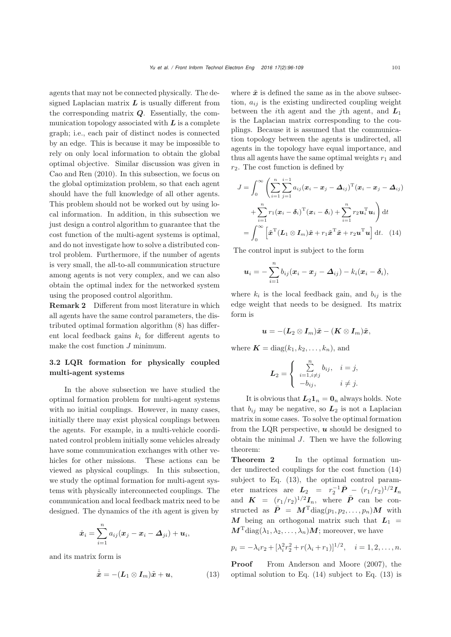agents that may not be connected physically. The designed Laplacian matrix  $L$  is usually different from the corresponding matrix *Q*. Essentially, the communication topology associated with *L* is a complete graph; i.e., each pair of distinct nodes is connected by an edge. This is because it may be impossible to rely on only local information to obtain the global optimal objective. Similar discussion was given in Cao and Ren (2010). In this subsection, we focus on the global optimization problem, so that each agent should have the full knowledge of all other agents. This problem should not be worked out by using local information. In addition, in this subsection we just design a control algorithm to guarantee that the cost function of the multi-agent systems is optimal, and do not investigate how to solve a distributed control problem. Furthermore, if the number of agents is very small, the all-to-all communication structure among agents is not very complex, and we can also obtain the optimal index for the networked system using the proposed control algorithm.

Remark 2 Different from most literature in which all agents have the same control parameters, the distributed optimal formation algorithm (8) has different local feedback gains k*<sup>i</sup>* for different agents to make the cost function  $J$  minimum.

## 3.2 LQR formation for physically coupled multi-agent systems

In the above subsection we have studied the optimal formation problem for multi-agent systems with no initial couplings. However, in many cases, initially there may exist physical couplings between the agents. For example, in a multi-vehicle coordinated control problem initially some vehicles already have some communication exchanges with other vehicles for other missions. These actions can be viewed as physical couplings. In this subsection, we study the optimal formation for multi-agent systems with physically interconnected couplings. The communication and local feedback matrix need to be designed. The dynamics of the ith agent is given by

$$
\dot{\boldsymbol{x}}_i = \sum_{i=1}^n a_{ij} (\boldsymbol{x}_j - \boldsymbol{x}_i - \boldsymbol{\Delta}_{ji}) + \boldsymbol{u}_i,
$$

and its matrix form is

$$
\dot{\tilde{\boldsymbol{x}}} = -(\boldsymbol{L}_1 \otimes \boldsymbol{I}_m)\tilde{\boldsymbol{x}} + \boldsymbol{u},\tag{13}
$$

where  $\tilde{x}$  is defined the same as in the above subsection,  $a_{ij}$  is the existing undirected coupling weight between the ith agent and the jth agent, and *L*<sup>1</sup> is the Laplacian matrix corresponding to the couplings. Because it is assumed that the communication topology between the agents is undirected, all agents in the topology have equal importance, and thus all agents have the same optimal weights  $r_1$  and  $r_2$ . The cost function is defined by

$$
J = \int_0^\infty \left( \sum_{i=1}^n \sum_{j=1}^{i-1} a_{ij} (\boldsymbol{x}_i - \boldsymbol{x}_j - \boldsymbol{\Delta}_{ij})^\mathrm{T} (\boldsymbol{x}_i - \boldsymbol{x}_j - \boldsymbol{\Delta}_{ij}) + \sum_{i=1}^n r_1 (\boldsymbol{x}_i - \boldsymbol{\delta}_i)^\mathrm{T} (\boldsymbol{x}_i - \boldsymbol{\delta}_i) + \sum_{i=1}^n r_2 \boldsymbol{u}_i^\mathrm{T} \boldsymbol{u}_i \right) dt
$$
  
= 
$$
\int_0^\infty \left[ \tilde{\boldsymbol{x}}^\mathrm{T} (\boldsymbol{L}_1 \otimes \boldsymbol{I}_m) \tilde{\boldsymbol{x}} + r_1 \tilde{\boldsymbol{x}}^\mathrm{T} \tilde{\boldsymbol{x}} + r_2 \boldsymbol{u}^\mathrm{T} \boldsymbol{u} \right] dt. \quad (14)
$$

The control input is subject to the form

$$
\boldsymbol{u}_i = -\sum_{i=1}^n b_{ij}(\boldsymbol{x}_i - \boldsymbol{x}_j - \boldsymbol{\Delta}_{ij}) - k_i(\boldsymbol{x}_i - \boldsymbol{\delta}_i),
$$

where  $k_i$  is the local feedback gain, and  $b_{ij}$  is the edge weight that needs to be designed. Its matrix form is

$$
\boldsymbol{u}=-(\boldsymbol{L}_2\otimes \boldsymbol{I}_m)\tilde{\boldsymbol{x}}-(\boldsymbol{K}\otimes \boldsymbol{I}_m)\tilde{\boldsymbol{x}},
$$

where  $\mathbf{K} = \text{diag}(k_1, k_2, \ldots, k_n)$ , and

$$
L_2 = \begin{cases} \sum_{i=1, i \neq j}^{n} b_{ij}, & i = j, \\ -b_{ij}, & i \neq j. \end{cases}
$$

It is obvious that  $L_2 \mathbf{1}_n = \mathbf{0}_n$  always holds. Note that  $b_{ij}$  may be negative, so  $L_2$  is not a Laplacian matrix in some cases. To solve the optimal formation from the LQR perspective, *u* should be designed to obtain the minimal  $J$ . Then we have the following theorem:

Theorem 2 In the optimal formation under undirected couplings for the cost function (14) subject to Eq. (13), the optimal control parameter matrices are  $L_2 = r_2^{-1} \bar{P} - (r_1/r_2)^{1/2} I_n$ and  $\boldsymbol{K} = (r_1/r_2)^{1/2} \boldsymbol{I}_n$ , where  $\boldsymbol{\bar{P}}$  can be constructed as  $\bar{P} = M^{\mathrm{T}} \text{diag}(p_1, p_2, \ldots, p_n) M$  with *M* being an orthogonal matrix such that  $L_1$  =  $\mathbf{M}^{\mathrm{T}}$ diag $(\lambda_1, \lambda_2, \ldots, \lambda_n)$ *M*; moreover, we have

$$
p_i = -\lambda_i r_2 + [\lambda_i^2 r_2^2 + r(\lambda_i + r_1)]^{1/2}, \quad i = 1, 2, ..., n.
$$

**Proof** From Anderson and Moore (2007), the optimal solution to Eq. (14) subject to Eq. (13) is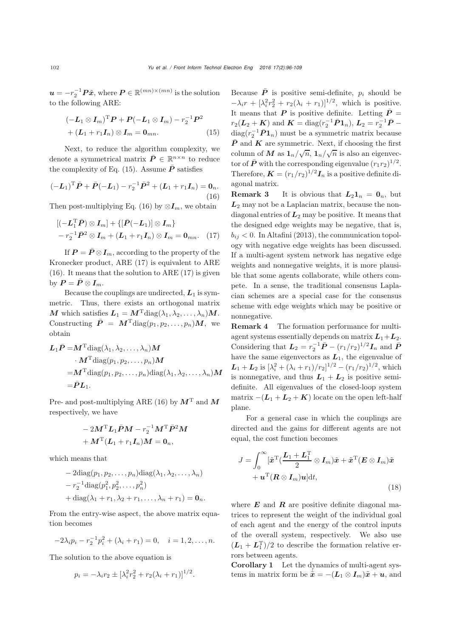$u = -r_2^{-1}P\tilde{x}$ , where  $P \in \mathbb{R}^{(mn)\times(mn)}$  is the solution to the following ARE:

$$
(-\mathbf{L}_1 \otimes \mathbf{I}_m)^{\mathrm{T}} \mathbf{P} + \mathbf{P}(-\mathbf{L}_1 \otimes \mathbf{I}_m) - r_2^{-1} \mathbf{P}^2
$$
  
+ (\mathbf{L}\_1 + r\_1 \mathbf{I}\_n) \otimes \mathbf{I}\_m = \mathbf{0}\_{mn}. (15)

Next, to reduce the algorithm complexity, we denote a symmetrical matrix  $\bar{P} \in \mathbb{R}^{n \times n}$  to reduce the complexity of Eq. (15). Assume  $\bar{P}$  satisfies

$$
(-L_1)^{\mathrm{T}}\bar{P} + \bar{P}(-L_1) - r_2^{-1}\bar{P}^2 + (L_1 + r_1I_n) = 0_n.
$$
\n(16)

Then post-multiplying Eq. (16) by  $\otimes I_m$ , we obtain

$$
\begin{aligned} [(-\boldsymbol{L}_1^{\mathrm{T}}\bar{\boldsymbol{P}}) \otimes \boldsymbol{I}_m] + \{[\bar{\boldsymbol{P}}(-\boldsymbol{L}_1)] \otimes \boldsymbol{I}_m\} \\ - r_2^{-1}\bar{\boldsymbol{P}}^2 \otimes \boldsymbol{I}_m + (\boldsymbol{L}_1 + r_1\boldsymbol{I}_n) \otimes \boldsymbol{I}_m = \boldsymbol{0}_{mn}. \end{aligned} \tag{17}
$$

If  $P = \bar{P} \otimes I_m$ , according to the property of the Kronecker product, ARE (17) is equivalent to ARE (16). It means that the solution to ARE (17) is given by  $P = \bar{P} \otimes I_m$ .

Because the couplings are undirected,  $L_1$  is symmetric. Thus, there exists an orthogonal matrix *M* which satisfies  $L_1 = M^{\mathrm{T}} \text{diag}(\lambda_1, \lambda_2, \ldots, \lambda_n) M$ . Constructing  $\bar{P} = M^{\mathrm{T}} \text{diag}(p_1, p_2, \ldots, p_n) M$ , we obtain

$$
L_1\bar{P} = M^{\mathrm{T}}\mathrm{diag}(\lambda_1, \lambda_2, \dots, \lambda_n)M
$$
  

$$
\cdot M^{\mathrm{T}}\mathrm{diag}(p_1, p_2, \dots, p_n)M
$$
  

$$
= M^{\mathrm{T}}\mathrm{diag}(p_1, p_2, \dots, p_n)\mathrm{diag}(\lambda_1, \lambda_2, \dots, \lambda_n)M
$$
  

$$
= \bar{P}L_1.
$$

Pre- and post-multiplying ARE (16) by *M*<sup>T</sup> and *M* respectively, we have

$$
-2\boldsymbol{M}^{\mathrm{T}}\boldsymbol{L}_1\bar{\boldsymbol{P}}\boldsymbol{M}-r_2^{-1}\boldsymbol{M}^{\mathrm{T}}\bar{\boldsymbol{P}}^2\boldsymbol{M} + \boldsymbol{M}^{\mathrm{T}}(\boldsymbol{L}_1+r_1\boldsymbol{I}_n)\boldsymbol{M}=\boldsymbol{0}_n,
$$

which means that

$$
-2\text{diag}(p_1, p_2, \dots, p_n)\text{diag}(\lambda_1, \lambda_2, \dots, \lambda_n)
$$

$$
-r_2^{-1}\text{diag}(p_1^2, p_2^2, \dots, p_n^2)
$$

$$
+\text{diag}(\lambda_1 + r_1, \lambda_2 + r_1, \dots, \lambda_n + r_1) = \mathbf{0}_n.
$$

From the entry-wise aspect, the above matrix equation becomes

$$
-2\lambda_i p_i - r_2^{-1} p_i^2 + (\lambda_i + r_1) = 0, \quad i = 1, 2, \dots, n.
$$

The solution to the above equation is

$$
p_i = -\lambda_i r_2 \pm [\lambda_i^2 r_2^2 + r_2(\lambda_i + r_1)]^{1/2}.
$$

Because  $\bar{P}$  is positive semi-definite,  $p_i$  should be  $-\lambda_i r + [\lambda_i^2 r_2^2 + r_2(\lambda_i + r_1)]^{1/2}$ , which is positive. It means that *P* is positive definite. Letting  $\bar{P}$  =  $r_2(L_2 + K)$  and  $K = \text{diag}(r_2^{-1}\bar{P}1_n)$ ,  $L_2 = r_2^{-1}\bar{P}$ diag( $r_2^{-1}\bar{P}\mathbf{1}_n$ ) must be a symmetric matrix because  $\bar{P}$  and  $K$  are symmetric. Next, if choosing the first column of *M* as  $1_n/\sqrt{n}$ ,  $1_n/\sqrt{n}$  is also an eigenvector of  $\bar{P}$  with the corresponding eigenvalue  $(r_1r_2)^{1/2}$ . Therefore,  $\mathbf{K} = (r_1/r_2)^{1/2} \mathbf{I}_n$  is a positive definite diagonal matrix.

**Remark 3** It is obvious that  $L_2 \mathbf{1}_n = \mathbf{0}_n$ , but  $L_2$  may not be a Laplacian matrix, because the nondiagonal entries of  $L_2$  may be positive. It means that the designed edge weights may be negative, that is,  $b_{ij}$  < 0. In Altafini (2013), the communication topology with negative edge weights has been discussed. If a multi-agent system network has negative edge weights and nonnegative weights, it is more plausible that some agents collaborate, while others compete. In a sense, the traditional consensus Laplacian schemes are a special case for the consensus scheme with edge weights which may be positive or nonnegative.

Remark 4 The formation performance for multiagent systems essentially depends on matrix  $L_1+L_2$ . Considering that  $L_2 = r_2^{-1} \bar{P} - (r_1/r_2)^{1/2} I_n$  and  $\bar{P}$ have the same eigenvectors as  $L_1$ , the eigenvalue of  $L_1 + L_2$  is  $[\lambda_i^2 + (\lambda_i + r_1)/r_2]^{1/2} - (r_1/r_2)^{1/2}$ , which is nonnegative, and thus  $L_1 + L_2$  is positive semidefinite. All eigenvalues of the closed-loop system matrix  $-(L_1 + L_2 + K)$  locate on the open left-half plane.

For a general case in which the couplings are directed and the gains for different agents are not equal, the cost function becomes

$$
J = \int_0^\infty [\tilde{\boldsymbol{x}}^{\mathrm{T}} (\frac{\boldsymbol{L}_1 + \boldsymbol{L}_1^{\mathrm{T}}}{2} \otimes \boldsymbol{I}_m) \tilde{\boldsymbol{x}} + \tilde{\boldsymbol{x}}^{\mathrm{T}} (\boldsymbol{E} \otimes \boldsymbol{I}_m) \tilde{\boldsymbol{x}} + \boldsymbol{u}^{\mathrm{T}} (\boldsymbol{R} \otimes \boldsymbol{I}_m) \boldsymbol{u}] dt,
$$
\n(18)

where **E** and **R** are positive definite diagonal matrices to represent the weight of the individual goal of each agent and the energy of the control inputs of the overall system, respectively. We also use  $(L_1 + L_1^T)/2$  to describe the formation relative errors between agents.

Corollary 1 Let the dynamics of multi-agent systems in matrix form be  $\tilde{\mathbf{x}} = -(\mathbf{L}_1 \otimes \mathbf{I}_m)\tilde{\mathbf{x}} + \mathbf{u}$ , and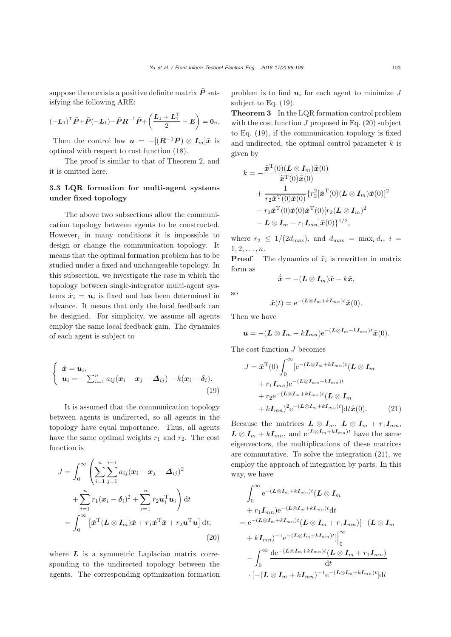suppose there exists a positive definite matrix  $\vec{P}$  satisfying the following ARE:

$$
(-L_1)^{\mathrm{T}}\bar{P}+\bar{P}(-L_1)-\bar{P}R^{-1}\bar{P}+\left(\frac{L_1+L_1^{\mathrm{T}}}{2}+E\right)=0_n.
$$

Then the control law  $u = -[(R^{-1}\bar{P}) \otimes I_m]\tilde{x}$  is optimal with respect to cost function (18).

The proof is similar to that of Theorem 2, and it is omitted here.

#### 3.3 LQR formation for multi-agent systems under fixed topology

The above two subsections allow the communication topology between agents to be constructed. However, in many conditions it is impossible to design or change the communication topology. It means that the optimal formation problem has to be studied under a fixed and unchangeable topology. In this subsection, we investigate the case in which the topology between single-integrator multi-agent systems  $\dot{x}_i = u_i$  is fixed and has been determined in advance. It means that only the local feedback can be designed. For simplicity, we assume all agents employ the same local feedback gain. The dynamics of each agent is subject to

$$
\begin{cases} \dot{\boldsymbol{x}} = \boldsymbol{u}_i, \\ \boldsymbol{u}_i = -\sum_{i=1}^n a_{ij} (\boldsymbol{x}_i - \boldsymbol{x}_j - \boldsymbol{\Delta}_{ij}) - k(\boldsymbol{x}_i - \boldsymbol{\delta}_i). \end{cases}
$$
\n(19)

It is assumed that the communication topology between agents is undirected, so all agents in the topology have equal importance. Thus, all agents have the same optimal weights  $r_1$  and  $r_2$ . The cost function is

$$
J = \int_0^\infty \left( \sum_{i=1}^n \sum_{j=1}^{i-1} a_{ij} (\boldsymbol{x}_i - \boldsymbol{x}_j - \boldsymbol{\Delta}_{ij})^2 + \sum_{i=1}^n r_1 (\boldsymbol{x}_i - \boldsymbol{\delta}_i)^2 + \sum_{i=1}^n r_2 \boldsymbol{u}_i^{\mathrm{T}} \boldsymbol{u}_i \right) dt
$$
  
= 
$$
\int_0^\infty \left[ \tilde{\boldsymbol{x}}^{\mathrm{T}} (\boldsymbol{L} \otimes \boldsymbol{I}_m) \tilde{\boldsymbol{x}} + r_1 \tilde{\boldsymbol{x}}^{\mathrm{T}} \tilde{\boldsymbol{x}} + r_2 \boldsymbol{u}^{\mathrm{T}} \boldsymbol{u} \right] dt,
$$
(20)

where **L** is a symmetric Laplacian matrix corresponding to the undirected topology between the agents. The corresponding optimization formation

problem is to find  $u_i$  for each agent to minimize  $J$ subject to Eq. (19).

Theorem 3 In the LQR formation control problem with the cost function  $J$  proposed in Eq. (20) subject to Eq. (19), if the communication topology is fixed and undirected, the optimal control parameter  $k$  is given by

$$
k = -\frac{\tilde{\boldsymbol{x}}^{T}(0)(\boldsymbol{L}\otimes\boldsymbol{I}_{m})\tilde{\boldsymbol{x}}(0)}{\tilde{\boldsymbol{x}}^{T}(0)\tilde{\boldsymbol{x}}(0)} \\ + \frac{1}{r_{2}\tilde{\boldsymbol{x}}^{T}(0)\tilde{\boldsymbol{x}}(0)}\{r_{2}^{2}[\tilde{\boldsymbol{x}}^{T}(0)(\boldsymbol{L}\otimes\boldsymbol{I}_{m})\tilde{\boldsymbol{x}}(0)]^{2} \\ - r_{2}\tilde{\boldsymbol{x}}^{T}(0)\tilde{\boldsymbol{x}}(0)\tilde{\boldsymbol{x}}^{T}(0)[r_{2}(\boldsymbol{L}\otimes\boldsymbol{I}_{m})^{2} \\ - \boldsymbol{L}\otimes\boldsymbol{I}_{m} - r_{1}\boldsymbol{I}_{mn}|\tilde{\boldsymbol{x}}(0)\}^{1/2},
$$

where  $r_2 \leq 1/(2d_{\text{max}})$ , and  $d_{\text{max}} = \max_i d_i$ ,  $i =$  $1, 2, \ldots, n$ .

**Proof** The dynamics of  $\tilde{x}_i$  is rewritten in matrix form as

$$
\dot{\tilde{\bm{x}}} = -(\bm{L} \otimes \bm{I}_m) \tilde{\bm{x}} - k \tilde{\bm{x}},
$$

so

$$
\tilde{\boldsymbol{x}}(t) = e^{-(\boldsymbol{L}\otimes\boldsymbol{I}_m + k\boldsymbol{I}_{mn})t}\tilde{\boldsymbol{x}}(0).
$$

Then we have

$$
\boldsymbol{u}=-(\boldsymbol{L}\otimes \boldsymbol{I}_m+k\boldsymbol{I}_{mn})\mathrm{e}^{-(\boldsymbol{L}\otimes \boldsymbol{I}_m+k\boldsymbol{I}_{mn})t}\tilde{\boldsymbol{x}}(0).
$$

The cost function J becomes

$$
J = \tilde{\boldsymbol{x}}^{T}(0) \int_{0}^{\infty} [e^{-(L\otimes I_m + kI_{mn})t} (L \otimes I_m + r_1 I_{mn})e^{-(L\otimes I_{mn} + kI_{mn})t} + r_2 e^{-(L\otimes I_m + kI_{mn})t} (L \otimes I_m + kI_{mn})^{2} e^{-(L\otimes I_m + kI_{mn})t}] dt \tilde{\boldsymbol{x}}(0).
$$
 (21)

Because the matrices  $\mathbf{L} \otimes \mathbf{I}_m$ ,  $\mathbf{L} \otimes \mathbf{I}_m + r_1 \mathbf{I}_{mn}$ ,  $L \otimes I_m + kI_{mn}$ , and  $e^{(L \otimes I_m + kI_{mn})t}$  have the same eigenvectors, the multiplications of these matrices are commutative. To solve the integration (21), we employ the approach of integration by parts. In this way, we have

$$
\int_0^\infty e^{-(L\otimes I_m + kI_{mn})t} (L\otimes I_m
$$
  
+  $r_1 I_{mn})e^{-(L\otimes I_m + kI_{mn})t} dt$   
=  $e^{-(L\otimes I_m + kI_{mn})t} (L\otimes I_m + r_1 I_{mn})[-(L\otimes I_m + kI_{mn})^{-1}e^{-(L\otimes I_m + kI_{mn})t}]_0^\infty$   
-  $\int_0^\infty \frac{de^{-(L\otimes I_m + kI_{mn})t}(L\otimes I_m + r_1 I_{mn})}{dt}$   
-  $[-(L\otimes I_m + kI_{mn})^{-1}e^{-(L\otimes I_m + kI_{mn})t}] dt$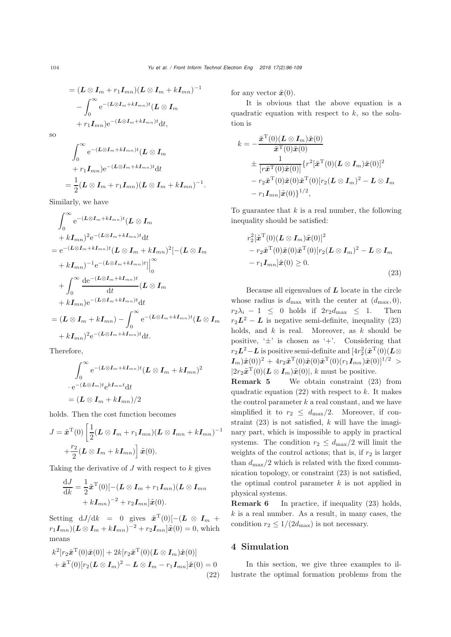$$
= (\mathbf{L} \otimes \mathbf{I}_m + r_1 \mathbf{I}_{mn}) (\mathbf{L} \otimes \mathbf{I}_m + k \mathbf{I}_{mn})^{-1}
$$

$$
- \int_0^\infty e^{-(\mathbf{L} \otimes \mathbf{I}_m + k \mathbf{I}_{mn})t} (\mathbf{L} \otimes \mathbf{I}_m + r_1 \mathbf{I}_{mn}) e^{-(\mathbf{L} \otimes \mathbf{I}_m + k \mathbf{I}_{mn})t} dt,
$$

so

$$
\int_0^\infty e^{-(L\otimes I_m + kI_{mn})t} (L\otimes I_m
$$
  
+  $r_1 I_{mn})e^{-(L\otimes I_m + kI_{mn})t} dt$   
=  $\frac{1}{2}(L\otimes I_m + r_1 I_{mn})(L\otimes I_m + kI_{mn})^{-1}.$ 

Similarly, we have

$$
\int_{0}^{\infty} e^{-(L\otimes I_{m}+kI_{mn})t} (L\otimes I_{m}
$$
\n
$$
+ kI_{mn})^{2} e^{-(L\otimes I_{m}+kI_{mn})t} dt
$$
\n
$$
= e^{-(L\otimes I_{m}+kI_{mn})t} (L\otimes I_{m}+kI_{mn})^{2} [-(L\otimes I_{m}+kI_{mn})^{-1}e^{-(L\otimes I_{m}+kI_{mn})t}]|_{0}^{\infty}
$$
\n
$$
+ \int_{0}^{\infty} \frac{de^{-(L\otimes I_{m}+kI_{mn})t}}{dt} (L\otimes I_{m} + kI_{mn})e^{-(L\otimes I_{m}+kI_{mn})t} dt
$$
\n
$$
= (L\otimes I_{m}+kI_{mn}) - \int_{0}^{\infty} e^{-(L\otimes I_{m}+kI_{mn})t} (L\otimes I_{m} + kI_{mn})^{2}e^{-(L\otimes I_{m}+kI_{mn})t} dt.
$$

Therefore,

$$
\int_0^\infty e^{-(L\otimes I_m + kI_{mn})t} (L\otimes I_m + kI_{mn})^2
$$
  

$$
\cdot e^{-(L\otimes I_m)t} e^{kI_{mn}t} dt
$$
  

$$
= (L\otimes I_m + kI_{mn})/2
$$

holds. Then the cost function becomes

$$
J = \tilde{\boldsymbol{x}}^{T}(0) \left[ \frac{1}{2} (\boldsymbol{L} \otimes \boldsymbol{I}_{m} + r_{1} \boldsymbol{I}_{mn}) (\boldsymbol{L} \otimes \boldsymbol{I}_{mn} + k \boldsymbol{I}_{mn})^{-1} + \frac{r_{2}}{2} (\boldsymbol{L} \otimes \boldsymbol{I}_{m} + k \boldsymbol{I}_{mn}) \right] \tilde{\boldsymbol{x}}(0).
$$

Taking the derivative of  $J$  with respect to  $k$  gives

$$
\frac{\mathrm{d}J}{\mathrm{d}k} = \frac{1}{2}\tilde{\boldsymbol{x}}^{\mathrm{T}}(0) [-(\boldsymbol{L}\otimes\boldsymbol{I}_m + r_1\boldsymbol{I}_{mn})(\boldsymbol{L}\otimes\boldsymbol{I}_{mn}) + k\boldsymbol{I}_{mn})^{-2} + r_2\boldsymbol{I}_{mn}]\tilde{\boldsymbol{x}}(0).
$$

Setting  $dJ/dk = 0$  gives  $\tilde{x}^{T}(0)[-(L \otimes I_m +$  $r_1 I_{mn}) (L \otimes I_m + k I_{mn})^{-2} + r_2 I_{mn} |\tilde{x}(0) = 0$ , which means

$$
k^2[r_2\tilde{\boldsymbol{x}}^{\mathrm{T}}(0)\tilde{\boldsymbol{x}}(0)] + 2k[r_2\tilde{\boldsymbol{x}}^{\mathrm{T}}(0)(\boldsymbol{L}\otimes\boldsymbol{I}_m)\tilde{\boldsymbol{x}}(0)] + \tilde{\boldsymbol{x}}^{\mathrm{T}}(0)[r_2(\boldsymbol{L}\otimes\boldsymbol{I}_m)^2 - \boldsymbol{L}\otimes\boldsymbol{I}_m - r_1\boldsymbol{I}_{mn}]\tilde{\boldsymbol{x}}(0) = 0
$$
\n(22)

for any vector  $\tilde{\boldsymbol{x}}(0)$ .

It is obvious that the above equation is a quadratic equation with respect to  $k$ , so the solution is

$$
k = -\frac{\tilde{\boldsymbol{x}}^{T}(0)(\boldsymbol{L}\otimes\boldsymbol{I}_{m})\tilde{\boldsymbol{x}}(0)}{\tilde{\boldsymbol{x}}^{T}(0)\tilde{\boldsymbol{x}}(0)}\\ \pm\frac{1}{\left[r\tilde{\boldsymbol{x}}^{T}(0)\tilde{\boldsymbol{x}}(0)\right]} \{r^{2}[\tilde{\boldsymbol{x}}^{T}(0)(\boldsymbol{L}\otimes\boldsymbol{I}_{m})\tilde{\boldsymbol{x}}(0)]^{2}\\ -r_{2}\tilde{\boldsymbol{x}}^{T}(0)\tilde{\boldsymbol{x}}(0)\tilde{\boldsymbol{x}}^{T}(0)[r_{2}(\boldsymbol{L}\otimes\boldsymbol{I}_{m})^{2}-\boldsymbol{L}\otimes\boldsymbol{I}_{m}\\ -r_{1}\boldsymbol{I}_{mn}|\tilde{\boldsymbol{x}}(0)\}^{1/2},
$$

To guarantee that  $k$  is a real number, the following inequality should be satisfied:

$$
r_2^2[\tilde{\boldsymbol{x}}^{\mathrm{T}}(0)(\boldsymbol{L}\otimes\boldsymbol{I}_m)\tilde{\boldsymbol{x}}(0)]^2
$$
  
\n
$$
-r_2\tilde{\boldsymbol{x}}^{\mathrm{T}}(0)\tilde{\boldsymbol{x}}(0)\tilde{\boldsymbol{x}}^{\mathrm{T}}(0)[r_2(\boldsymbol{L}\otimes\boldsymbol{I}_m)^2-\boldsymbol{L}\otimes\boldsymbol{I}_m
$$
  
\n
$$
-r_1\boldsymbol{I}_{mn}]\tilde{\boldsymbol{x}}(0)\geq 0.
$$
\n(23)

Because all eigenvalues of *L* locate in the circle whose radius is  $d_{\text{max}}$  with the center at  $(d_{\text{max}}, 0)$ ,  $r_2\lambda_i - 1 \leq 0$  holds if  $2r_2d_{\text{max}} \leq 1$ . Then  $r_2L^2 - L$  is negative semi-definite, inequality (23) holds, and  $k$  is real. Moreover, as  $k$  should be positive,  $\pm$  is chosen as  $\pm$ . Considering that  $r_2\bm{L}^2 - \bm{L}$  is positive semi-definite and  $[4r_2^2(\tilde{\bm{x}}^{\mathrm{T}}(0)(\bm{L}\otimes$  $I_m)\tilde{x}(0)^2 + 4r_2\tilde{x}^{\mathrm{T}}(0)\tilde{x}(0)\tilde{x}^{\mathrm{T}}(0)(r_1I_{mn})\tilde{x}(0)|^{1/2}$  $|2r_2\tilde{\boldsymbol{x}}^{\mathrm{T}}(0)(\boldsymbol{L}\otimes\boldsymbol{I}_m)\tilde{\boldsymbol{x}}(0)|, k \text{ must be positive.}$ 

Remark 5 We obtain constraint (23) from quadratic equation  $(22)$  with respect to k. It makes the control parameter  $k$  a real constant, and we have simplified it to  $r_2 \leq d_{\text{max}}/2$ . Moreover, if constraint  $(23)$  is not satisfied, k will have the imaginary part, which is impossible to apply in practical systems. The condition  $r_2 \n\leq d_{\text{max}}/2$  will limit the weights of the control actions; that is, if  $r_2$  is larger than  $d_{\text{max}}/2$  which is related with the fixed communication topology, or constraint (23) is not satisfied, the optimal control parameter  $k$  is not applied in physical systems.

Remark 6 In practice, if inequality (23) holds,  $k$  is a real number. As a result, in many cases, the condition  $r_2 \leq 1/(2d_{\text{max}})$  is not necessary.

## 4 Simulation

In this section, we give three examples to illustrate the optimal formation problems from the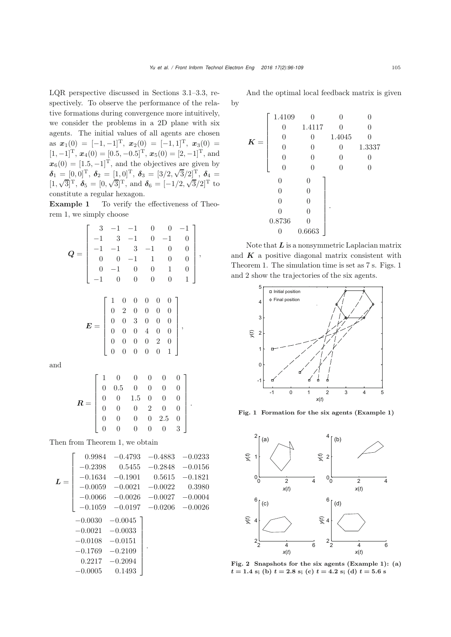LQR perspective discussed in Sections 3.1–3.3, respectively. To observe the performance of the relative formations during convergence more intuitively, we consider the problems in a 2D plane with six agents. The initial values of all agents are chosen as  $\mathbf{x}_1(0) = [-1, -1]^T$ ,  $\mathbf{x}_2(0) = [-1, 1]^T$ ,  $\mathbf{x}_3(0) =$  $[1, -1]^{\mathrm{T}}$ ,  $x_4(0) = [0.5, -0.5]^{\mathrm{T}}$ ,  $x_5(0) = [2, -1]^{\mathrm{T}}$ , and  $\mathbf{x}_6(0) = [1.5, -1]^T$ , and the objectives are given by  $\delta_1 = [0, 0]^T$ ,  $\delta_2 = [1, 0]^T$ ,  $\delta_3 = [3/2, \sqrt{3}/2]^T$ ,  $\delta_4 =$  $[1, \sqrt{3}]^T$ ,  $\delta_5 = [0, \sqrt{3}]^T$ , and  $\delta_6 = [-1/2, \sqrt{3}/2]^T$  to constitute a regular hexagon.

Example 1 To verify the effectiveness of Theorem 1, we simply choose

$$
\mathbf{Q} = \left[ \begin{array}{rrrrrr} 3 & -1 & -1 & 0 & 0 & -1 \\ -1 & 3 & -1 & 0 & -1 & 0 \\ -1 & -1 & 3 & -1 & 0 & 0 \\ 0 & 0 & -1 & 1 & 0 & 0 \\ 0 & -1 & 0 & 0 & 1 & 0 \\ -1 & 0 & 0 & 0 & 0 & 1 \end{array} \right],
$$

$$
E = \left[ \begin{array}{cccccc} 1 & 0 & 0 & 0 & 0 & 0 \\ 0 & 2 & 0 & 0 & 0 & 0 \\ 0 & 0 & 3 & 0 & 0 & 0 \\ 0 & 0 & 0 & 4 & 0 & 0 \\ 0 & 0 & 0 & 0 & 2 & 0 \\ 0 & 0 & 0 & 0 & 0 & 1 \end{array} \right],
$$

and

$$
\mathbf{R} = \left[ \begin{array}{cccccc} 1 & 0 & 0 & 0 & 0 & 0 \\ 0 & 0.5 & 0 & 0 & 0 & 0 \\ 0 & 0 & 1.5 & 0 & 0 & 0 \\ 0 & 0 & 0 & 2 & 0 & 0 \\ 0 & 0 & 0 & 0 & 2.5 & 0 \\ 0 & 0 & 0 & 0 & 0 & 3 \end{array} \right].
$$

Then from Theorem 1, we obtain

$$
L = \begin{bmatrix} 0.9984 & -0.4793 & -0.4883 & -0.0233 \\ -0.2398 & 0.5455 & -0.2848 & -0.0156 \\ -0.1634 & -0.1901 & 0.5615 & -0.1821 \\ -0.0059 & -0.0021 & -0.0022 & 0.3980 \\ -0.0066 & -0.0026 & -0.0027 & -0.0004 \\ -0.1059 & -0.0197 & -0.0206 & -0.0026 \\ -0.0030 & -0.0045 & \\ -0.0021 & -0.0033 & \\ -0.1769 & -0.2109 & \\ 0.2217 & -0.2094 & \\ -0.0005 & 0.1493 & \end{bmatrix}.
$$

And the optimal local feedback matrix is given by



Note that *L* is a nonsymmetric Laplacian matrix and  $K$  a positive diagonal matrix consistent with Theorem 1. The simulation time is set as 7 s. Figs. 1 and 2 show the trajectories of the six agents.



Fig. 1 Formation for the six agents (Example 1)



Fig. 2 Snapshots for the six agents (Example 1): (a)  $t = 1.4$  s; (b)  $t = 2.8$  s; (c)  $t = 4.2$  s; (d)  $t = 5.6$  s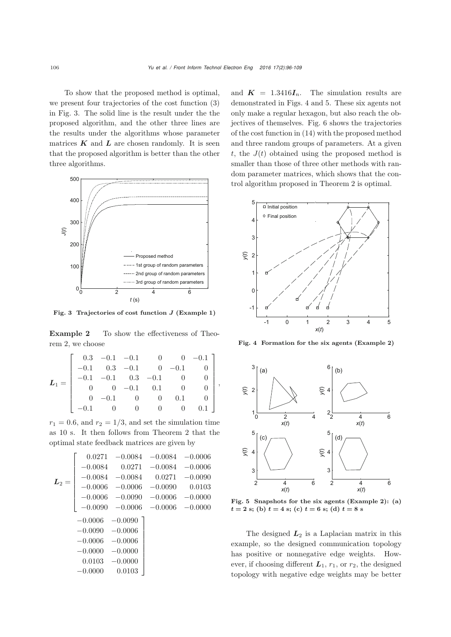,

To show that the proposed method is optimal, we present four trajectories of the cost function (3) in Fig. 3. The solid line is the result under the the proposed algorithm, and the other three lines are the results under the algorithms whose parameter matrices  $K$  and  $L$  are chosen randomly. It is seen that the proposed algorithm is better than the other three algorithms.



Fig. 3 Trajectories of cost function *J* (Example 1)

Example 2 To show the effectiveness of Theorem 2, we choose

$$
\boldsymbol{L}_1 = \left[ \begin{array}{ccccc} 0.3 & -0.1 & -0.1 & 0 & 0 & -0.1 \\ -0.1 & 0.3 & -0.1 & 0 & -0.1 & 0 \\ -0.1 & -0.1 & 0.3 & -0.1 & 0 & 0 \\ 0 & 0 & -0.1 & 0.1 & 0 & 0 \\ 0 & -0.1 & 0 & 0 & 0.1 & 0 \\ -0.1 & 0 & 0 & 0 & 0 & 0.1 \end{array} \right]
$$

 $r_1 = 0.6$ , and  $r_2 = 1/3$ , and set the simulation time as 10 s. It then follows from Theorem 2 that the optimal state feedback matrices are given by

$$
\boldsymbol{L}_2 = \begin{bmatrix}\n0.0271 & -0.0084 & -0.0084 & -0.0006 \\
-0.0084 & 0.0271 & -0.0084 & -0.0006 \\
-0.0084 & -0.0084 & 0.0271 & -0.0090 \\
-0.0006 & -0.0006 & -0.0090 & 0.0103 \\
-0.0006 & -0.0090 & -0.0006 & -0.0000 \\
-0.0090 & -0.0006 & -0.0006 & -0.0000 \\
-0.0006 & -0.0000 & -0.0006 & -0.0000 \\
-0.0000 & -0.0000 & -0.0000 & 0.0103 & -0.0000\n\end{bmatrix}
$$

and  $K = 1.3416I_n$ . The simulation results are demonstrated in Figs. 4 and 5. These six agents not only make a regular hexagon, but also reach the objectives of themselves. Fig. 6 shows the trajectories of the cost function in (14) with the proposed method and three random groups of parameters. At a given t, the  $J(t)$  obtained using the proposed method is smaller than those of three other methods with random parameter matrices, which shows that the control algorithm proposed in Theorem 2 is optimal.



Fig. 4 Formation for the six agents (Example 2)



Fig. 5 Snapshots for the six agents (Example 2): (a)  $t = 2$  s; (b)  $t = 4$  s; (c)  $t = 6$  s; (d)  $t = 8$  s

The designed  $L_2$  is a Laplacian matrix in this example, so the designed communication topology has positive or nonnegative edge weights. However, if choosing different  $L_1$ ,  $r_1$ , or  $r_2$ , the designed topology with negative edge weights may be better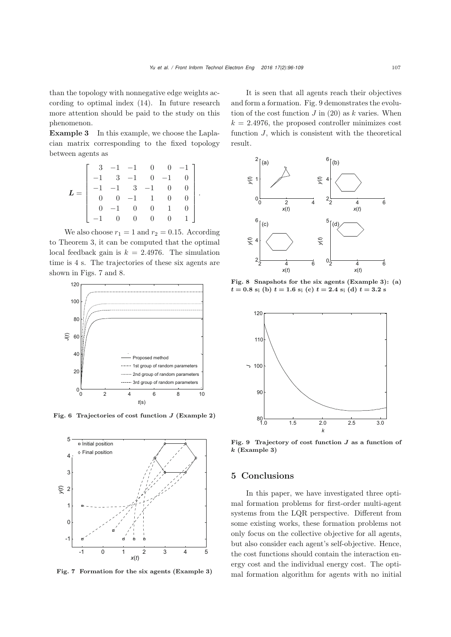than the topology with nonnegative edge weights according to optimal index (14). In future research more attention should be paid to the study on this phenomenon.

Example 3 In this example, we choose the Laplacian matrix corresponding to the fixed topology between agents as

$$
L = \begin{bmatrix} 3 & -1 & -1 & 0 & 0 & -1 \\ -1 & 3 & -1 & 0 & -1 & 0 \\ -1 & -1 & 3 & -1 & 0 & 0 \\ 0 & 0 & -1 & 1 & 0 & 0 \\ 0 & -1 & 0 & 0 & 1 & 0 \\ -1 & 0 & 0 & 0 & 0 & 1 \end{bmatrix}.
$$

We also choose  $r_1 = 1$  and  $r_2 = 0.15$ . According to Theorem 3, it can be computed that the optimal local feedback gain is  $k = 2.4976$ . The simulation time is 4 s. The trajectories of these six agents are shown in Figs. 7 and 8.



Fig. 6 Trajectories of cost function *J* (Example 2)



Fig. 7 Formation for the six agents (Example 3)

It is seen that all agents reach their objectives and form a formation. Fig. 9 demonstrates the evolution of the cost function  $J$  in (20) as  $k$  varies. When  $k = 2.4976$ , the proposed controller minimizes cost function  $J$ , which is consistent with the theoretical result.



Fig. 8 Snapshots for the six agents (Example 3): (a)  $t = 0.8$  s; (b)  $t = 1.6$  s; (c)  $t = 2.4$  s; (d)  $t = 3.2$  s



Fig. 9 Trajectory of cost function *J* as a function of *k* (Example 3)

#### 5 Conclusions

In this paper, we have investigated three optimal formation problems for first-order multi-agent systems from the LQR perspective. Different from some existing works, these formation problems not only focus on the collective objective for all agents, but also consider each agent's self-objective. Hence, the cost functions should contain the interaction energy cost and the individual energy cost. The optimal formation algorithm for agents with no initial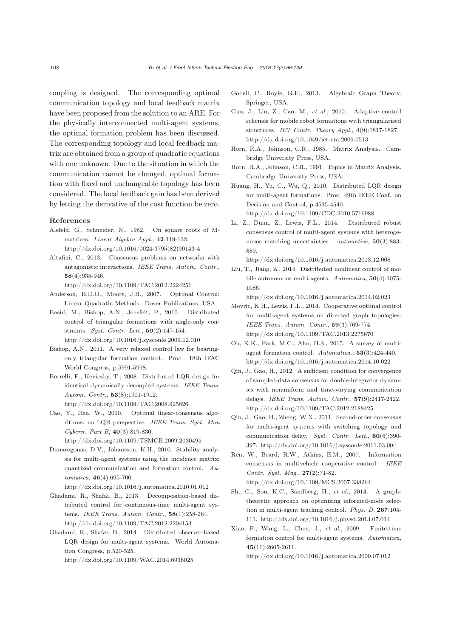coupling is designed. The corresponding optimal communication topology and local feedback matrix have been proposed from the solution to an ARE. For the physically interconnected multi-agent systems, the optimal formation problem has been discussed. The corresponding topology and local feedback matrix are obtained from a group of quadratic equations with one unknown. Due to the situation in which the communication cannot be changed, optimal formation with fixed and unchangeable topology has been considered. The local feedback gain has been derived by letting the derivative of the cost function be zero.

#### References

- Alefeld, G., Schneider, N., 1982. On square roots of Mmatrices. *Linear Algebra Appl.*, 42:119-132. http://dx.doi.org/10.1016/0024-3795(82)90143-4
- Altafini, C., 2013. Consensus problems on networks with antagonistic interactions. *IEEE Trans. Autom. Contr.*, 58(4):935-946.

http://dx.doi.org/10.1109/TAC.2012.2224251

- Anderson, B.D.O., Moore, J.B., 2007. Optimal Control: Linear Quadratic Methods. Dover Publications, USA.
- Basiri, M., Bishop, A.N., Jensfelt, P., 2010. Distributed control of triangular formations with angle-only constraints. *Syst. Contr. Lett.*, 59(2):147-154. http://dx.doi.org/10.1016/j.sysconle.2009.12.010
- Bishop, A.N., 2011. A very relaxed control law for bearingonly triangular formation control. Proc. 18th IFAC World Congress, p.5991-5998.
- Borrelli, F., Keviczky, T., 2008. Distributed LQR design for identical dynamically decoupled systems. *IEEE Trans. Autom. Contr.*, 53(8):1901-1912. http://dx.doi.org/10.1109/TAC.2008.925826
- Cao, Y., Ren, W., 2010. Optimal linear-consensus algorithms: an LQR perspective. *IEEE Trans. Syst. Man Cybern. Part B*, 40(3):819-830.

http://dx.doi.org/10.1109/TSMCB.2009.2030495

- Dimarogonas, D.V., Johansson, K.H., 2010. Stability analysis for multi-agent systems using the incidence matrix: quantized communication and formation control. *Automatica*, 46(4):695-700.
- http://dx.doi.org/10.1016/j.automatica.2010.01.012 Ghadami, R., Shafai, B., 2013. Decomposition-based distributed control for continuous-time multi-agent systems. *IEEE Trans. Autom. Contr.*, 58(1):258-264.

http://dx.doi.org/10.1109/TAC.2012.2204153

Ghadami, R., Shafai, B., 2014. Distributed observer-based LQR design for multi-agent systems. World Automation Congress, p.520-525. http://dx.doi.org/10.1109/WAC.2014.6936025

- Godsil, C., Royle, G.F., 2013. Algebraic Graph Theory. Springer, USA.
- Guo, J., Lin, Z., Cao, M., *et al.*, 2010. Adaptive control schemes for mobile robot formations with triangularised structures. *IET Contr. Theory Appl.*, 4(9):1817-1827. http://dx.doi.org/10.1049/iet-cta.2009.0513
- Horn, R.A., Johnson, C.R., 1985. Matrix Analysis. Cambridge University Press, USA.
- Horn, R.A., Johnson, C.R., 1991. Topics in Matrix Analysis. Cambridge University Press, USA.
- Huang, H., Yu, C., Wu, Q., 2010. Distributed LQR design for multi-agent formations. Proc. 49th IEEE Conf. on Decision and Control, p.4535-4540. http://dx.doi.org/10.1109/CDC.2010.5716988
- Li, Z., Duan, Z., Lewis, F.L., 2014. Distributed robust consensus control of multi-agent systems with heterogeneous matching uncertainties. *Automatica*, 50(3):883- 889.

http://dx.doi.org/10.1016/j.automatica.2013.12.008

Liu, T., Jiang, Z., 2014. Distributed nonlinear control of mobile autonomous multi-agents. *Automatica*, 50(4):1075- 1086.

http://dx.doi.org/10.1016/j.automatica.2014.02.023

- Movric, K.H., Lewis, F.L., 2014. Cooperative optimal control for multi-agent systems on directed graph topologies. *IEEE Trans. Autom. Contr.*, 59(3):769-774. http://dx.doi.org/10.1109/TAC.2013.2275670
- Oh, K.K., Park, M.C., Ahn, H.S., 2015. A survey of multiagent formation control. *Automatica.*, 53(3):424-440. http://dx.doi.org/10.1016/j.automatica.2014.10.022
- Qin, J., Gao, H., 2012. A sufficient condition for convergence of sampled-data consensus for double-integrator dynamics with nonuniform and time-varying communication delays. *IEEE Trans. Autom. Contr.*, 57(9):2417-2422. http://dx.doi.org/10.1109/TAC.2012.2188425
- Qin, J., Gao, H., Zheng, W.X., 2011. Second-order consensus for multi-agent systems with switching topology and communication delay. *Syst. Contr. Lett.*, 60(6):390- 397. http://dx.doi.org/10.1016/j.sysconle.2011.03.004
- Ren, W., Beard, R.W., Atkins, E.M., 2007. Information consensus in multivehicle cooperative control. *IEEE Contr. Syst. Mag.*, 27(2):71-82. http://dx.doi.org/10.1109/MCS.2007.338264
- Shi, G., Sou, K.C., Sandberg, H., *et al.*, 2014. A graphtheoretic approach on optimizing informed-node selection in multi-agent tracking control. *Phys. D*, 267:104- 111. http://dx.doi.org/10.1016/j.physd.2013.07.014
- Xiao, F., Wang, L., Chen, J., *et al.*, 2009. Finite-time formation control for multi-agent systems. *Automatica*, 45(11):2605-2611.

http://dx.doi.org/10.1016/j.automatica.2009.07.012